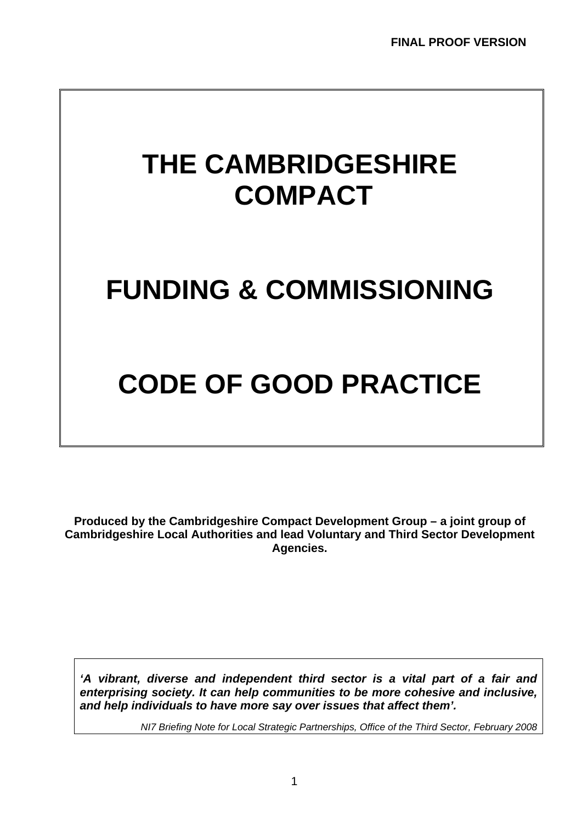# **THE CAMBRIDGESHIRE COMPACT**

# **FUNDING & COMMISSIONING**

# **CODE OF GOOD PRACTICE**

**Produced by the Cambridgeshire Compact Development Group – a joint group of Cambridgeshire Local Authorities and lead Voluntary and Third Sector Development Agencies.** 

*'A vibrant, diverse and independent third sector is a vital part of a fair and enterprising society. It can help communities to be more cohesive and inclusive, and help individuals to have more say over issues that affect them'.* 

*NI7 Briefing Note for Local Strategic Partnerships, Office of the Third Sector, February 2008*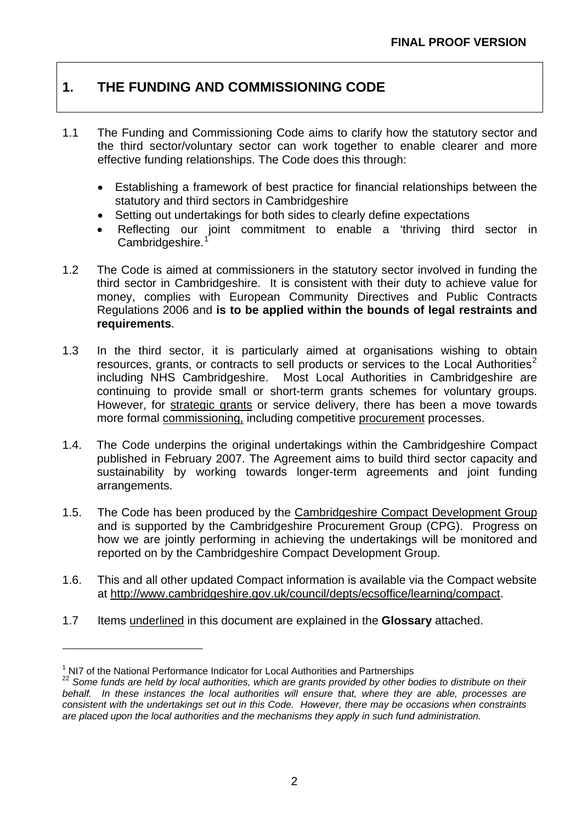# **1. THE FUNDING AND COMMISSIONING CODE**

- 1.1 The Funding and Commissioning Code aims to clarify how the statutory sector and the third sector/voluntary sector can work together to enable clearer and more effective funding relationships. The Code does this through:
	- Establishing a framework of best practice for financial relationships between the statutory and third sectors in Cambridgeshire
	- Setting out undertakings for both sides to clearly define expectations
	- Reflecting our joint commitment to enable a 'thriving third sector in Cambridgeshire.
- 1.2 The Code is aimed at commissioners in the statutory sector involved in funding the third sector in Cambridgeshire. It is consistent with their duty to achieve value for money, complies with European Community Directives and Public Contracts Regulations 2006 and **is to be applied within the bounds of legal restraints and requirements**.
- 1.3 In the third sector, it is particularly aimed at organisations wishing to obtain resources, grants, or contracts to sell products or services to the Local Authorities<sup>[2](#page-1-1)</sup> including NHS Cambridgeshire. Most Local Authorities in Cambridgeshire are continuing to provide small or short-term grants schemes for voluntary groups. However, for strategic grants or service delivery, there has been a move towards more formal commissioning, including competitive procurement processes.
- 1.4. The Code underpins the original undertakings within the Cambridgeshire Compact published in February 2007. The Agreement aims to build third sector capacity and sustainability by working towards longer-term agreements and joint funding arrangements.
- 1.5. The Code has been produced by the Cambridgeshire Compact Development Group and is supported by the Cambridgeshire Procurement Group (CPG). Progress on how we are jointly performing in achieving the undertakings will be monitored and reported on by the Cambridgeshire Compact Development Group.
- 1.6. This and all other updated Compact information is available via the Compact website at [http://www.cambridgeshire.gov.uk/council/depts/ecsoffice/learning/compact.](http://www.cambridgeshire.gov.uk/council/depts/ecsoffice/learning/compact)
- 1.7 Items underlined in this document are explained in the **Glossary** attached.

1

<span id="page-1-0"></span><sup>&</sup>lt;sup>1</sup> NI7 of the National Performance Indicator for Local Authorities and Partnerships

<span id="page-1-1"></span><sup>&</sup>lt;sup>22</sup> Some funds are held by local authorities, which are grants provided by other bodies to distribute on their *behalf. In these instances the local authorities will ensure that, where they are able, processes are consistent with the undertakings set out in this Code. However, there may be occasions when constraints are placed upon the local authorities and the mechanisms they apply in such fund administration.*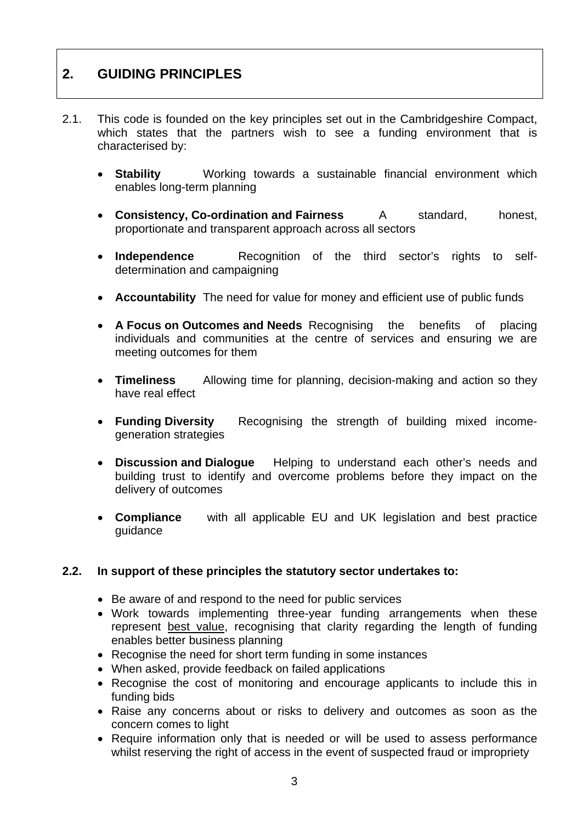# **2. GUIDING PRINCIPLES**

- 2.1. This code is founded on the key principles set out in the Cambridgeshire Compact, which states that the partners wish to see a funding environment that is characterised by:
	- **Stability** Working towards a sustainable financial environment which enables long-term planning
	- **Consistency, Co-ordination and Fairness** A standard, honest, proportionate and transparent approach across all sectors
	- **Independence** Recognition of the third sector's rights to selfdetermination and campaigning
	- **Accountability** The need for value for money and efficient use of public funds
	- **A Focus on Outcomes and Needs** Recognising the benefits of placing individuals and communities at the centre of services and ensuring we are meeting outcomes for them
	- **Timeliness** Allowing time for planning, decision-making and action so they have real effect
	- **Funding Diversity** Recognising the strength of building mixed incomegeneration strategies
	- **Discussion and Dialogue** Helping to understand each other's needs and building trust to identify and overcome problems before they impact on the delivery of outcomes
	- **Compliance** with all applicable EU and UK legislation and best practice guidance

# **2.2. In support of these principles the statutory sector undertakes to:**

- Be aware of and respond to the need for public services
- Work towards implementing three-year funding arrangements when these represent best value, recognising that clarity regarding the length of funding enables better business planning
- Recognise the need for short term funding in some instances
- When asked, provide feedback on failed applications
- Recognise the cost of monitoring and encourage applicants to include this in funding bids
- Raise any concerns about or risks to delivery and outcomes as soon as the concern comes to light
- Require information only that is needed or will be used to assess performance whilst reserving the right of access in the event of suspected fraud or impropriety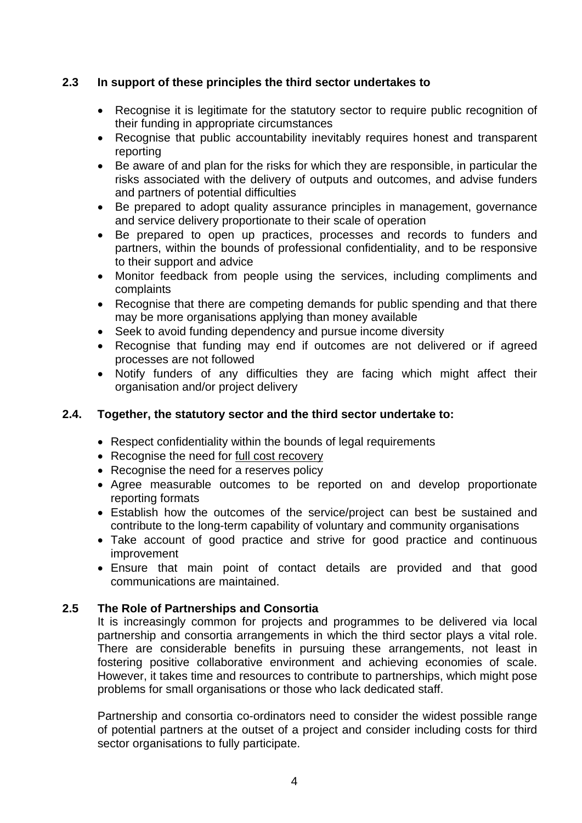# **2.3 In support of these principles the third sector undertakes to**

- Recognise it is legitimate for the statutory sector to require public recognition of their funding in appropriate circumstances
- Recognise that public accountability inevitably requires honest and transparent reporting
- Be aware of and plan for the risks for which they are responsible, in particular the risks associated with the delivery of outputs and outcomes, and advise funders and partners of potential difficulties
- Be prepared to adopt quality assurance principles in management, governance and service delivery proportionate to their scale of operation
- Be prepared to open up practices, processes and records to funders and partners, within the bounds of professional confidentiality, and to be responsive to their support and advice
- Monitor feedback from people using the services, including compliments and complaints
- Recognise that there are competing demands for public spending and that there may be more organisations applying than money available
- Seek to avoid funding dependency and pursue income diversity
- Recognise that funding may end if outcomes are not delivered or if agreed processes are not followed
- Notify funders of any difficulties they are facing which might affect their organisation and/or project delivery

# **2.4. Together, the statutory sector and the third sector undertake to:**

- Respect confidentiality within the bounds of legal requirements
- Recognise the need for full cost recovery
- Recognise the need for a reserves policy
- Agree measurable outcomes to be reported on and develop proportionate reporting formats
- Establish how the outcomes of the service/project can best be sustained and contribute to the long-term capability of voluntary and community organisations
- Take account of good practice and strive for good practice and continuous improvement
- Ensure that main point of contact details are provided and that good communications are maintained.

# **2.5 The Role of Partnerships and Consortia**

It is increasingly common for projects and programmes to be delivered via local partnership and consortia arrangements in which the third sector plays a vital role. There are considerable benefits in pursuing these arrangements, not least in fostering positive collaborative environment and achieving economies of scale. However, it takes time and resources to contribute to partnerships, which might pose problems for small organisations or those who lack dedicated staff.

Partnership and consortia co-ordinators need to consider the widest possible range of potential partners at the outset of a project and consider including costs for third sector organisations to fully participate.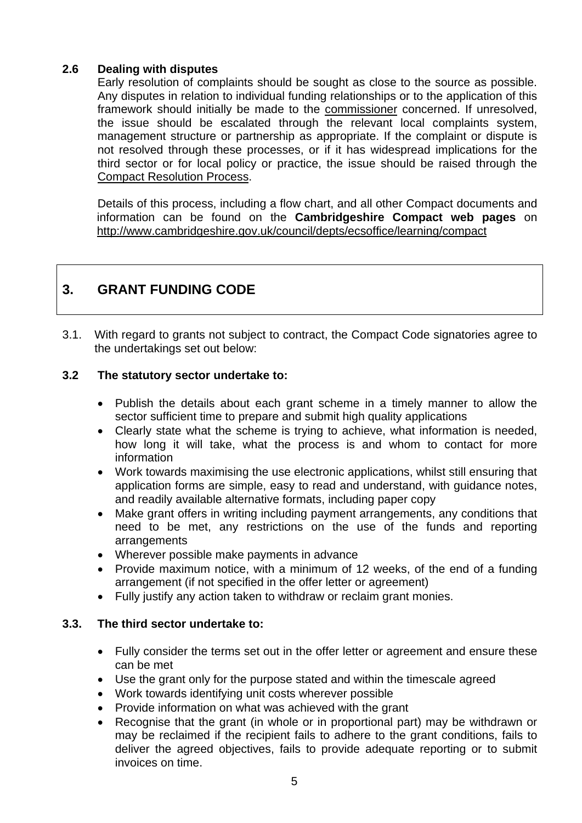# **2.6 Dealing with disputes**

 Early resolution of complaints should be sought as close to the source as possible. Any disputes in relation to individual funding relationships or to the application of this framework should initially be made to the commissioner concerned. If unresolved, the issue should be escalated through the relevant local complaints system, management structure or partnership as appropriate. If the complaint or dispute is not resolved through these processes, or if it has widespread implications for the third sector or for local policy or practice, the issue should be raised through the Compact Resolution Process.

 Details of this process, including a flow chart, and all other Compact documents and information can be found on the **Cambridgeshire Compact web pages** on <http://www.cambridgeshire.gov.uk/council/depts/ecsoffice/learning/compact>

# **3. GRANT FUNDING CODE**

3.1. With regard to grants not subject to contract, the Compact Code signatories agree to the undertakings set out below:

# **3.2 The statutory sector undertake to:**

- Publish the details about each grant scheme in a timely manner to allow the sector sufficient time to prepare and submit high quality applications
- Clearly state what the scheme is trying to achieve, what information is needed, how long it will take, what the process is and whom to contact for more information
- Work towards maximising the use electronic applications, whilst still ensuring that application forms are simple, easy to read and understand, with guidance notes, and readily available alternative formats, including paper copy
- Make grant offers in writing including payment arrangements, any conditions that need to be met, any restrictions on the use of the funds and reporting arrangements
- Wherever possible make payments in advance
- Provide maximum notice, with a minimum of 12 weeks, of the end of a funding arrangement (if not specified in the offer letter or agreement)
- Fully justify any action taken to withdraw or reclaim grant monies.

# **3.3. The third sector undertake to:**

- Fully consider the terms set out in the offer letter or agreement and ensure these can be met
- Use the grant only for the purpose stated and within the timescale agreed
- Work towards identifying unit costs wherever possible
- Provide information on what was achieved with the grant
- Recognise that the grant (in whole or in proportional part) may be withdrawn or may be reclaimed if the recipient fails to adhere to the grant conditions, fails to deliver the agreed objectives, fails to provide adequate reporting or to submit invoices on time.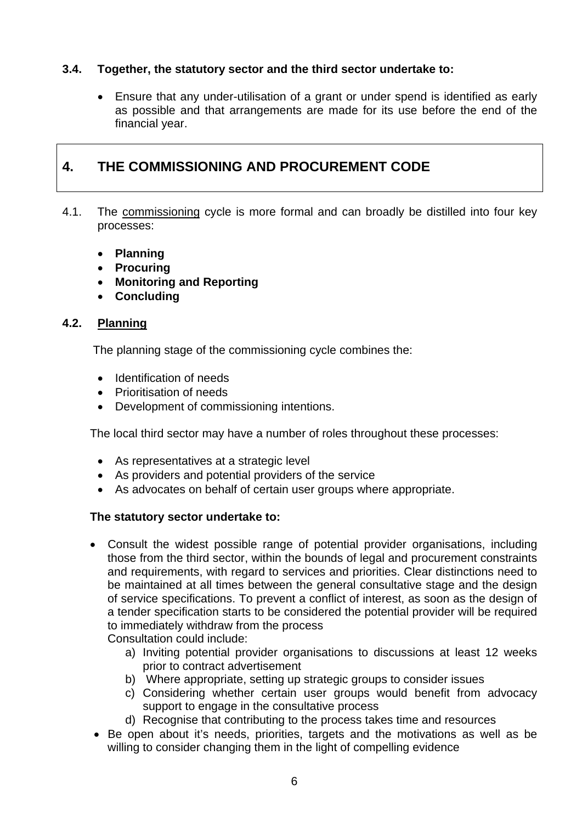# **3.4. Together, the statutory sector and the third sector undertake to:**

• Ensure that any under-utilisation of a grant or under spend is identified as early as possible and that arrangements are made for its use before the end of the financial year.

# **4. THE COMMISSIONING AND PROCUREMENT CODE**

- 4.1. The commissioning cycle is more formal and can broadly be distilled into four key processes:
	- **Planning**
	- **Procuring**
	- **Monitoring and Reporting**
	- **Concluding**

# **4.2. Planning**

The planning stage of the commissioning cycle combines the:

- Identification of needs
- Prioritisation of needs
- Development of commissioning intentions.

The local third sector may have a number of roles throughout these processes:

- As representatives at a strategic level
- As providers and potential providers of the service
- As advocates on behalf of certain user groups where appropriate.

#### **The statutory sector undertake to:**

• Consult the widest possible range of potential provider organisations, including those from the third sector, within the bounds of legal and procurement constraints and requirements, with regard to services and priorities. Clear distinctions need to be maintained at all times between the general consultative stage and the design of service specifications. To prevent a conflict of interest, as soon as the design of a tender specification starts to be considered the potential provider will be required to immediately withdraw from the process

Consultation could include:

- a) Inviting potential provider organisations to discussions at least 12 weeks prior to contract advertisement
- b) Where appropriate, setting up strategic groups to consider issues
- c) Considering whether certain user groups would benefit from advocacy support to engage in the consultative process
- d) Recognise that contributing to the process takes time and resources
- Be open about it's needs, priorities, targets and the motivations as well as be willing to consider changing them in the light of compelling evidence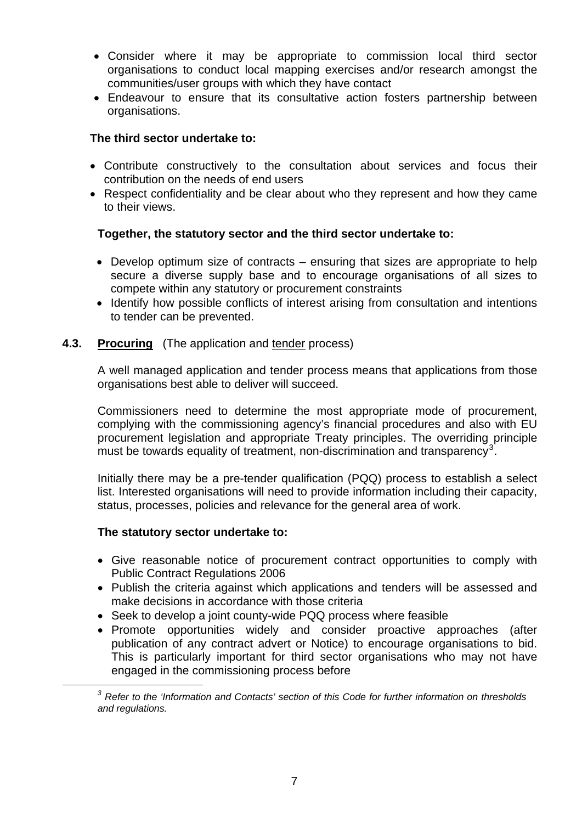- Consider where it may be appropriate to commission local third sector organisations to conduct local mapping exercises and/or research amongst the communities/user groups with which they have contact
- Endeavour to ensure that its consultative action fosters partnership between organisations.

- Contribute constructively to the consultation about services and focus their contribution on the needs of end users
- Respect confidentiality and be clear about who they represent and how they came to their views.

# **Together, the statutory sector and the third sector undertake to:**

- Develop optimum size of contracts ensuring that sizes are appropriate to help secure a diverse supply base and to encourage organisations of all sizes to compete within any statutory or procurement constraints
- Identify how possible conflicts of interest arising from consultation and intentions to tender can be prevented.

# **4.3. Procuring** (The application and tender process)

A well managed application and tender process means that applications from those organisations best able to deliver will succeed.

Commissioners need to determine the most appropriate mode of procurement, complying with the commissioning agency's financial procedures and also with EU procurement legislation and appropriate Treaty principles. The overriding principle must be towards equality of treatment, non-discrimination and transparency<sup>[3](#page-6-0)</sup>.

Initially there may be a pre-tender qualification (PQQ) process to establish a select list. Interested organisations will need to provide information including their capacity, status, processes, policies and relevance for the general area of work.

# **The statutory sector undertake to:**

<span id="page-6-0"></span>1

- Give reasonable notice of procurement contract opportunities to comply with Public Contract Regulations 2006
- Publish the criteria against which applications and tenders will be assessed and make decisions in accordance with those criteria
- Seek to develop a joint county-wide PQQ process where feasible
- Promote opportunities widely and consider proactive approaches (after publication of any contract advert or Notice) to encourage organisations to bid. This is particularly important for third sector organisations who may not have engaged in the commissioning process before

*<sup>3</sup> Refer to the 'Information and Contacts' section of this Code for further information on thresholds and regulations.*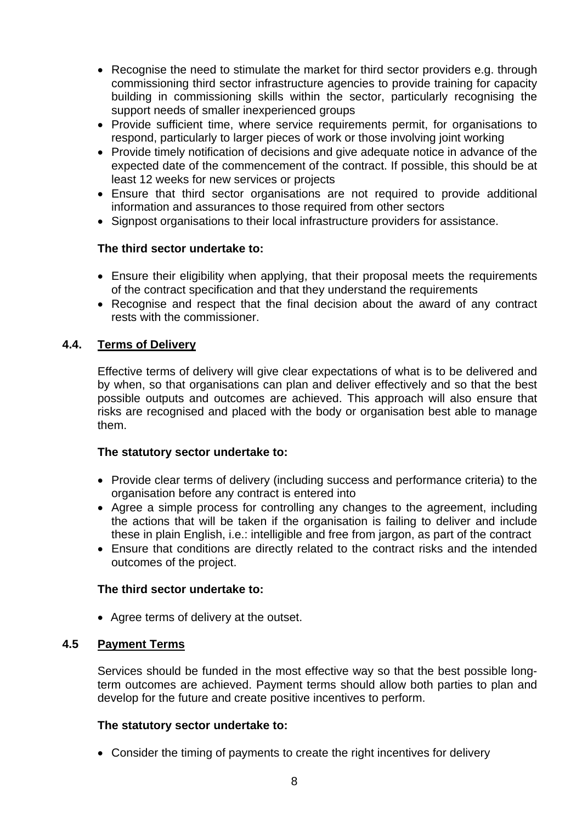- Recognise the need to stimulate the market for third sector providers e.g. through commissioning third sector infrastructure agencies to provide training for capacity building in commissioning skills within the sector, particularly recognising the support needs of smaller inexperienced groups
- Provide sufficient time, where service requirements permit, for organisations to respond, particularly to larger pieces of work or those involving joint working
- Provide timely notification of decisions and give adequate notice in advance of the expected date of the commencement of the contract. If possible, this should be at least 12 weeks for new services or projects
- Ensure that third sector organisations are not required to provide additional information and assurances to those required from other sectors
- Signpost organisations to their local infrastructure providers for assistance.

- Ensure their eligibility when applying, that their proposal meets the requirements of the contract specification and that they understand the requirements
- Recognise and respect that the final decision about the award of any contract rests with the commissioner.

# **4.4. Terms of Delivery**

Effective terms of delivery will give clear expectations of what is to be delivered and by when, so that organisations can plan and deliver effectively and so that the best possible outputs and outcomes are achieved. This approach will also ensure that risks are recognised and placed with the body or organisation best able to manage them.

# **The statutory sector undertake to:**

- Provide clear terms of delivery (including success and performance criteria) to the organisation before any contract is entered into
- Agree a simple process for controlling any changes to the agreement, including the actions that will be taken if the organisation is failing to deliver and include these in plain English, i.e.: intelligible and free from jargon, as part of the contract
- Ensure that conditions are directly related to the contract risks and the intended outcomes of the project.

# **The third sector undertake to:**

• Agree terms of delivery at the outset.

# **4.5 Payment Terms**

Services should be funded in the most effective way so that the best possible longterm outcomes are achieved. Payment terms should allow both parties to plan and develop for the future and create positive incentives to perform.

# **The statutory sector undertake to:**

• Consider the timing of payments to create the right incentives for delivery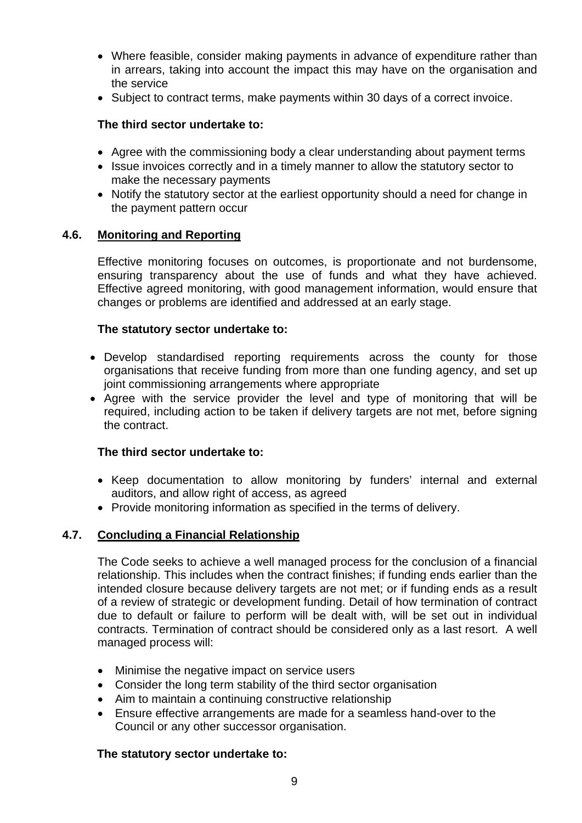- Where feasible, consider making payments in advance of expenditure rather than in arrears, taking into account the impact this may have on the organisation and the service
- Subject to contract terms, make payments within 30 days of a correct invoice.

- Agree with the commissioning body a clear understanding about payment terms
- Issue invoices correctly and in a timely manner to allow the statutory sector to make the necessary payments
- Notify the statutory sector at the earliest opportunity should a need for change in the payment pattern occur

# **4.6. Monitoring and Reporting**

Effective monitoring focuses on outcomes, is proportionate and not burdensome, ensuring transparency about the use of funds and what they have achieved. Effective agreed monitoring, with good management information, would ensure that changes or problems are identified and addressed at an early stage.

# **The statutory sector undertake to:**

- Develop standardised reporting requirements across the county for those organisations that receive funding from more than one funding agency, and set up joint commissioning arrangements where appropriate
- Agree with the service provider the level and type of monitoring that will be required, including action to be taken if delivery targets are not met, before signing the contract.

# **The third sector undertake to:**

- Keep documentation to allow monitoring by funders' internal and external auditors, and allow right of access, as agreed
- Provide monitoring information as specified in the terms of delivery.

# **4.7. Concluding a Financial Relationship**

The Code seeks to achieve a well managed process for the conclusion of a financial relationship. This includes when the contract finishes; if funding ends earlier than the intended closure because delivery targets are not met; or if funding ends as a result of a review of strategic or development funding. Detail of how termination of contract due to default or failure to perform will be dealt with, will be set out in individual contracts. Termination of contract should be considered only as a last resort. A well managed process will:

- Minimise the negative impact on service users
- Consider the long term stability of the third sector organisation
- Aim to maintain a continuing constructive relationship
- Ensure effective arrangements are made for a seamless hand-over to the Council or any other successor organisation.

# **The statutory sector undertake to:**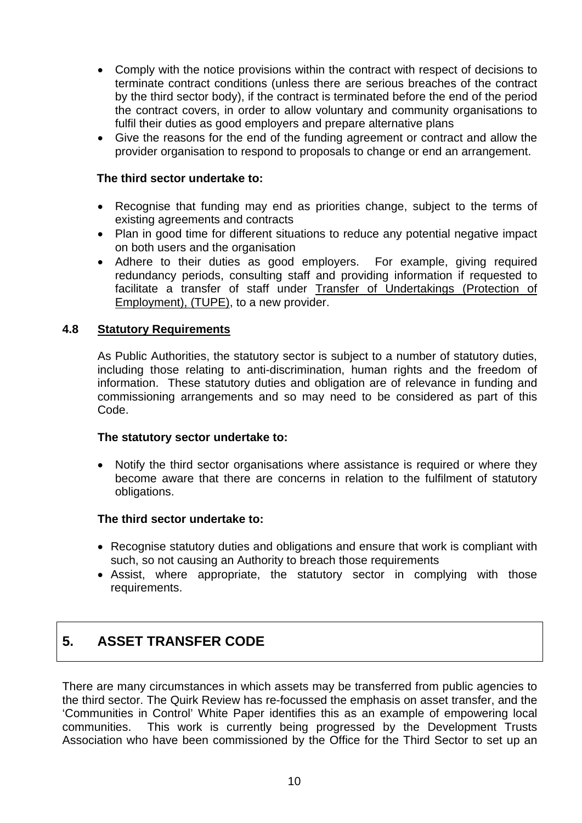- Comply with the notice provisions within the contract with respect of decisions to terminate contract conditions (unless there are serious breaches of the contract by the third sector body), if the contract is terminated before the end of the period the contract covers, in order to allow voluntary and community organisations to fulfil their duties as good employers and prepare alternative plans
- Give the reasons for the end of the funding agreement or contract and allow the provider organisation to respond to proposals to change or end an arrangement.

- Recognise that funding may end as priorities change, subject to the terms of existing agreements and contracts
- Plan in good time for different situations to reduce any potential negative impact on both users and the organisation
- Adhere to their duties as good employers. For example, giving required redundancy periods, consulting staff and providing information if requested to facilitate a transfer of staff under Transfer of Undertakings (Protection of Employment), (TUPE), to a new provider.

# **4.8 Statutory Requirements**

As Public Authorities, the statutory sector is subject to a number of statutory duties, including those relating to anti-discrimination, human rights and the freedom of information. These statutory duties and obligation are of relevance in funding and commissioning arrangements and so may need to be considered as part of this Code.

# **The statutory sector undertake to:**

• Notify the third sector organisations where assistance is required or where they become aware that there are concerns in relation to the fulfilment of statutory obligations.

# **The third sector undertake to:**

- Recognise statutory duties and obligations and ensure that work is compliant with such, so not causing an Authority to breach those requirements
- Assist, where appropriate, the statutory sector in complying with those requirements.

# **5. ASSET TRANSFER CODE**

There are many circumstances in which assets may be transferred from public agencies to the third sector. The Quirk Review has re-focussed the emphasis on asset transfer, and the 'Communities in Control' White Paper identifies this as an example of empowering local communities. This work is currently being progressed by the Development Trusts Association who have been commissioned by the Office for the Third Sector to set up an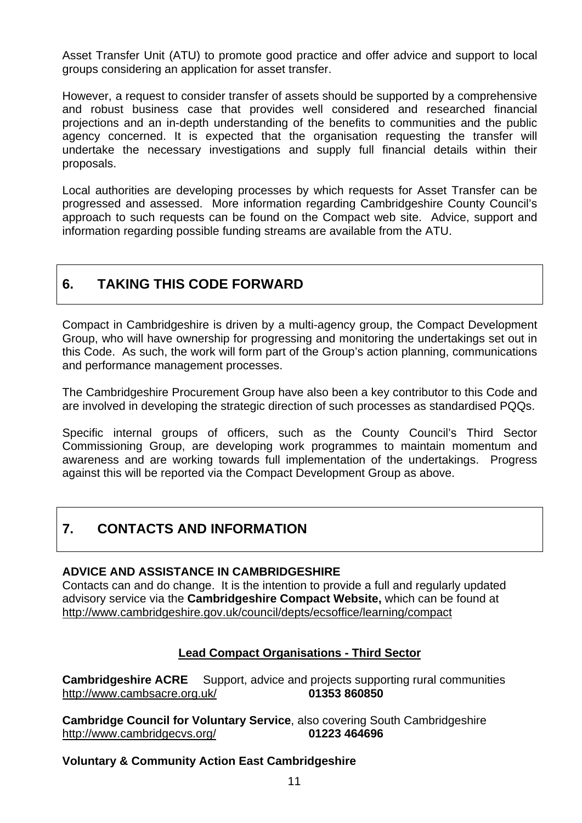Asset Transfer Unit (ATU) to promote good practice and offer advice and support to local groups considering an application for asset transfer.

However, a request to consider transfer of assets should be supported by a comprehensive and robust business case that provides well considered and researched financial projections and an in-depth understanding of the benefits to communities and the public agency concerned. It is expected that the organisation requesting the transfer will undertake the necessary investigations and supply full financial details within their proposals.

Local authorities are developing processes by which requests for Asset Transfer can be progressed and assessed. More information regarding Cambridgeshire County Council's approach to such requests can be found on the Compact web site. Advice, support and information regarding possible funding streams are available from the ATU.

# **6. TAKING THIS CODE FORWARD**

Compact in Cambridgeshire is driven by a multi-agency group, the Compact Development Group, who will have ownership for progressing and monitoring the undertakings set out in this Code. As such, the work will form part of the Group's action planning, communications and performance management processes.

The Cambridgeshire Procurement Group have also been a key contributor to this Code and are involved in developing the strategic direction of such processes as standardised PQQs.

Specific internal groups of officers, such as the County Council's Third Sector Commissioning Group, are developing work programmes to maintain momentum and awareness and are working towards full implementation of the undertakings. Progress against this will be reported via the Compact Development Group as above.

# **7. CONTACTS AND INFORMATION**

# **ADVICE AND ASSISTANCE IN CAMBRIDGESHIRE**

Contacts can and do change. It is the intention to provide a full and regularly updated advisory service via the **Cambridgeshire Compact Website,** which can be found at <http://www.cambridgeshire.gov.uk/council/depts/ecsoffice/learning/compact>

# **Lead Compact Organisations - Third Sector**

**Cambridgeshire ACRE** Support, advice and projects supporting rural communities <http://www.cambsacre.org.uk/>**01353 860850**

**Cambridge Council for Voluntary Service**, also covering South Cambridgeshire <http://www.cambridgecvs.org/> **01223 464696**

# **Voluntary & Community Action East Cambridgeshire**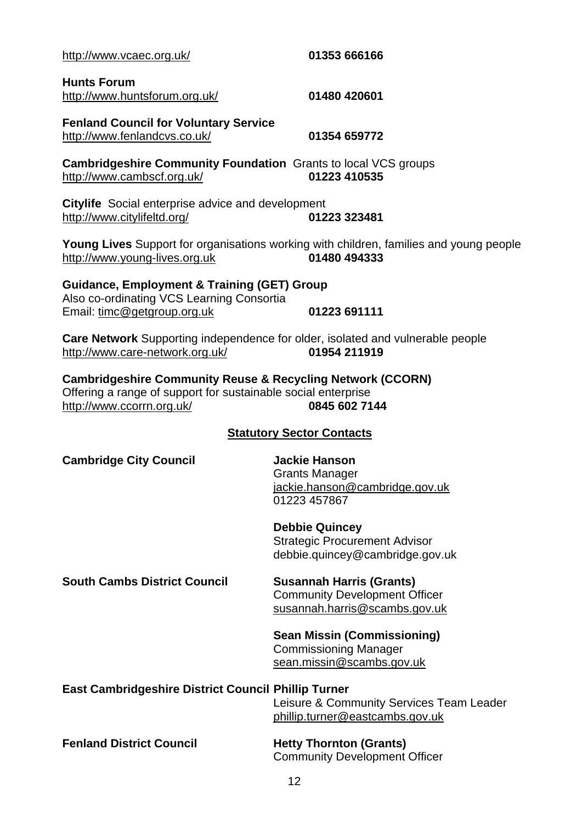| http://www.vcaec.org.uk/                                                                                                                                            | 01353 666166                                                                                             |
|---------------------------------------------------------------------------------------------------------------------------------------------------------------------|----------------------------------------------------------------------------------------------------------|
| <b>Hunts Forum</b><br>http://www.huntsforum.org.uk/                                                                                                                 | 01480 420601                                                                                             |
| <b>Fenland Council for Voluntary Service</b><br>http://www.fenlandcvs.co.uk/                                                                                        | 01354 659772                                                                                             |
| <b>Cambridgeshire Community Foundation</b> Grants to local VCS groups<br>http://www.cambscf.org.uk/                                                                 | 01223 410535                                                                                             |
| Citylife Social enterprise advice and development<br>http://www.citylifeltd.org/                                                                                    | 01223 323481                                                                                             |
| http://www.young-lives.org.uk                                                                                                                                       | Young Lives Support for organisations working with children, families and young people<br>01480 494333   |
| <b>Guidance, Employment &amp; Training (GET) Group</b>                                                                                                              |                                                                                                          |
| Also co-ordinating VCS Learning Consortia<br>Email: timc@getgroup.org.uk                                                                                            | 01223 691111                                                                                             |
| http://www.care-network.org.uk/                                                                                                                                     | Care Network Supporting independence for older, isolated and vulnerable people<br>01954 211919           |
| <b>Cambridgeshire Community Reuse &amp; Recycling Network (CCORN)</b><br>Offering a range of support for sustainable social enterprise<br>http://www.ccorrn.org.uk/ | 0845 602 7144                                                                                            |
|                                                                                                                                                                     | <b>Statutory Sector Contacts</b>                                                                         |
| <b>Cambridge City Council</b>                                                                                                                                       | <b>Jackie Hanson</b><br><b>Grants Manager</b><br>jackie.hanson@cambridge.gov.uk<br>01223 457867          |
|                                                                                                                                                                     | <b>Debbie Quincey</b><br><b>Strategic Procurement Advisor</b><br>debbie.quincey@cambridge.gov.uk         |
| <b>South Cambs District Council</b>                                                                                                                                 | <b>Susannah Harris (Grants)</b><br><b>Community Development Officer</b><br>susannah.harris@scambs.gov.uk |
|                                                                                                                                                                     | <b>Sean Missin (Commissioning)</b><br><b>Commissioning Manager</b><br>sean.missin@scambs.gov.uk          |
| <b>East Cambridgeshire District Council Phillip Turner</b>                                                                                                          | Leisure & Community Services Team Leader<br>phillip.turner@eastcambs.gov.uk                              |
| <b>Fenland District Council</b>                                                                                                                                     | <b>Hetty Thornton (Grants)</b><br><b>Community Development Officer</b>                                   |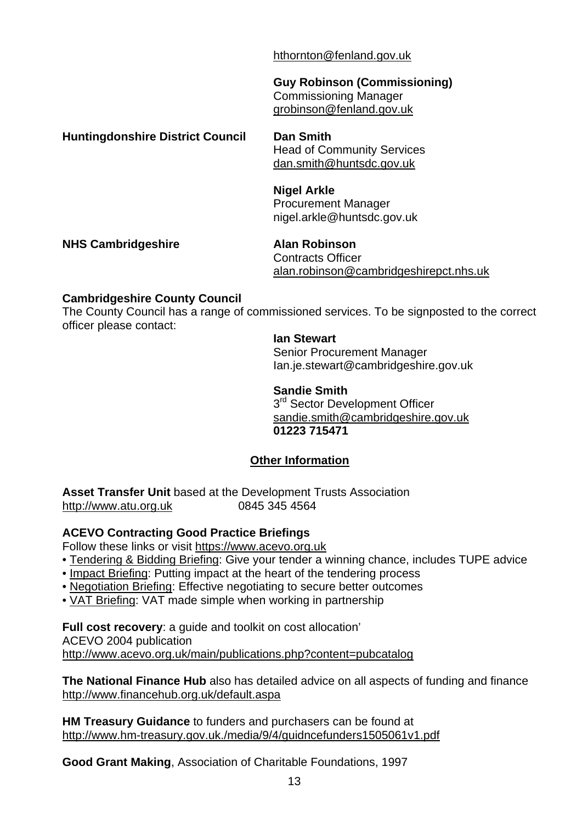[hthornton@fenland.gov.uk](mailto:hthornton@fenland.gov.uk)

 **Guy Robinson (Commissioning)**  Commissioning Manager grobinson@fenland.gov.uk

**Huntingdonshire District Council Dan Smith**

 Head of Community Services [dan.smith@huntsdc.gov.uk](mailto:dan.smith@huntsdc.gov.uk) 

 **Nigel Arkle**  Procurement Manager nigel.arkle@huntsdc.gov.uk

**NHS Cambridgeshire Alan Robinson**

 Contracts Officer alan.robinson@cambridgeshirepct.nhs.uk

# **Cambridgeshire County Council**

The County Council has a range of commissioned services. To be signposted to the correct officer please contact:

**Ian Stewart** 

 Senior Procurement Manager Ian.je.stewart@cambridgeshire.gov.uk

**Sandie Smith** 

3<sup>rd</sup> Sector Development Officer [sandie.smith@cambridgeshire.gov.uk](mailto:sandie.smith@cambridgeshire.gov.uk) **01223 715471**

# **Other Information**

**Asset Transfer Unit** based at the Development Trusts Association [http://www.atu.org.uk](http://www.atu.org.uk/) 0845 345 4564

# **ACEVO Contracting Good Practice Briefings**

Follow these links or visit [https://www.acevo.org.uk](https://www.acevo.org.uk/)

- • [Tendering & Bidding Briefing](https://www.acevo.org.uk/captest/download_file.cfm?filename=Tendering_Briefing_appendix_3a.pdf): Give your tender a winning chance, includes TUPE advice
- • [Impact Briefing](https://www.acevo.org.uk/captest/download_file.cfm?filename=Impact_Briefing_final_version.pdf): Putting impact at the heart of the tendering process
- • [Negotiation Briefing:](https://www.acevo.org.uk/captest/download_file.cfm?filename=Negotiation_Briefing_appendix_3d.pdf) Effective negotiating to secure better outcomes
- • [VAT Briefing:](https://www.acevo.org.uk/captest/download_file.cfm?filename=VAT_Briefing_final(1).pdf) VAT made simple when working in partnership

**Full cost recovery:** a guide and toolkit on cost allocation' ACEVO 2004 publication http://www.acevo.org.uk/main/publications.php?content=pubcatalog

**The National Finance Hub** also has detailed advice on all aspects of funding and finance <http://www.financehub.org.uk/default.aspa>

**HM Treasury Guidance** to funders and purchasers can be found at <http://www.hm-treasury.gov.uk./media/9/4/guidncefunders1505061v1.pdf>

**Good Grant Making**, Association of Charitable Foundations, 1997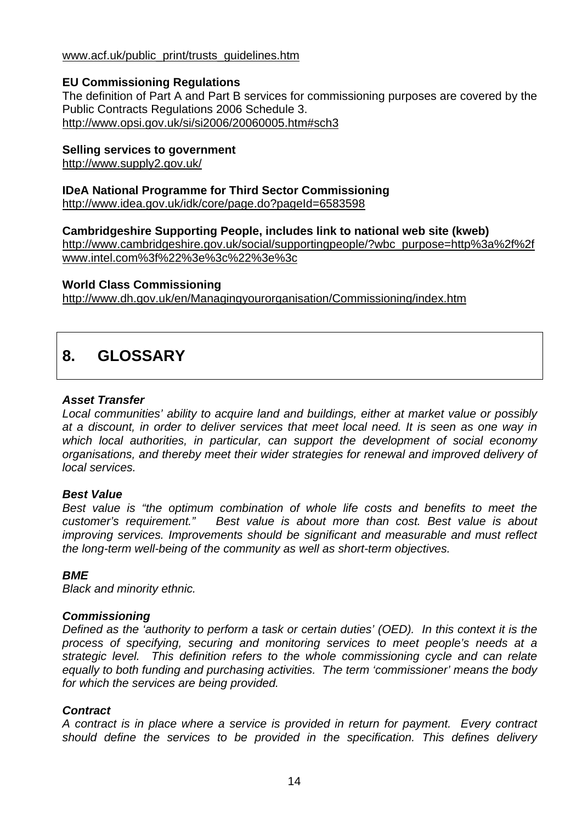# www.acf.uk/public\_print/trusts\_guidelines.htm

# **EU Commissioning Regulations**

The definition of Part A and Part B services for commissioning purposes are covered by the Public Contracts Regulations 2006 Schedule 3. <http://www.opsi.gov.uk/si/si2006/20060005.htm#sch3>

# **Selling services to government**

<http://www.supply2.gov.uk/>

# **IDeA National Programme for Third Sector Commissioning**

<http://www.idea.gov.uk/idk/core/page.do?pageId=6583598>

# **Cambridgeshire Supporting People, includes link to national web site (kweb)**

[http://www.cambridgeshire.gov.uk/social/supportingpeople/?wbc\\_purpose=http%3a%2f%2f](http://www.cambridgeshire.gov.uk/social/supportingpeople/?wbc_purpose=http%3a%2f%2fwww.intel.com%3f%22%3e%3c%22%3e%3c) [www.intel.com%3f%22%3e%3c%22%3e%3c](http://www.cambridgeshire.gov.uk/social/supportingpeople/?wbc_purpose=http%3a%2f%2fwww.intel.com%3f%22%3e%3c%22%3e%3c)

# **World Class Commissioning**

http://www.dh.gov.uk/en/Managingyourorganisation/Commissioning/index.htm

# **8. GLOSSARY**

# *Asset Transfer*

*Local communities' ability to acquire land and buildings, either at market value or possibly at a discount, in order to deliver services that meet local need. It is seen as one way in which local authorities, in particular, can support the development of social economy organisations, and thereby meet their wider strategies for renewal and improved delivery of local services.* 

# *Best Value*

*Best value is "the optimum combination of whole life costs and benefits to meet the customer's requirement." Best value is about more than cost. Best value is about improving services. Improvements should be significant and measurable and must reflect the long-term well-being of the community as well as short-term objectives.* 

# *BME*

*Black and minority ethnic.* 

# *Commissioning*

*Defined as the 'authority to perform a task or certain duties' (OED). In this context it is the process of specifying, securing and monitoring services to meet people's needs at a strategic level. This definition refers to the whole commissioning cycle and can relate equally to both funding and purchasing activities. The term 'commissioner' means the body for which the services are being provided.* 

# *Contract*

*A contract is in place where a service is provided in return for payment. Every contract should define the services to be provided in the specification. This defines delivery*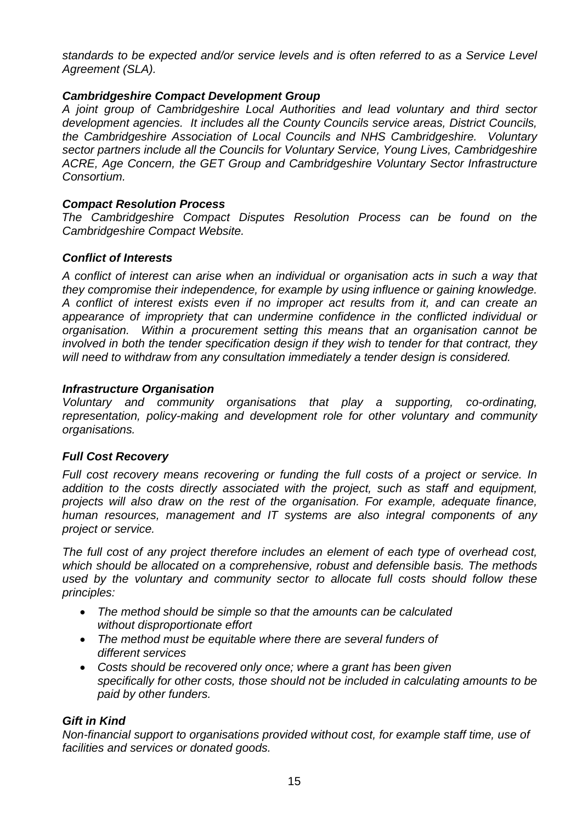*standards to be expected and/or service levels and is often referred to as a Service Level Agreement (SLA).* 

# *Cambridgeshire Compact Development Group*

*A joint group of Cambridgeshire Local Authorities and lead voluntary and third sector development agencies. It includes all the County Councils service areas, District Councils, the Cambridgeshire Association of Local Councils and NHS Cambridgeshire. Voluntary sector partners include all the Councils for Voluntary Service, Young Lives, Cambridgeshire ACRE, Age Concern, the GET Group and Cambridgeshire Voluntary Sector Infrastructure Consortium.* 

# *Compact Resolution Process*

*The Cambridgeshire Compact Disputes Resolution Process can be found on the Cambridgeshire Compact Website.* 

#### *Conflict of Interests*

*A conflict of interest can arise when an [individual](http://en.wikipedia.org/wiki/Individual) or [organisation](http://en.wikipedia.org/wiki/Organization) acts in such a way that they compromise their independence, for example by using influence or gaining knowledge. A conflict of interest exists even if no improper act results from it, and can create an appearance of impropriety that can undermine confidence in the conflicted individual or organisation. Within a procurement setting this means that an organisation cannot be involved in both the tender specification design if they wish to tender for that contract, they will need to withdraw from any consultation immediately a tender design is considered.* 

#### *Infrastructure Organisation*

*Voluntary and community organisations that play a supporting, co-ordinating, representation, policy-making and development role for other voluntary and community organisations.* 

# *Full Cost Recovery*

*Full cost recovery means recovering or funding the full costs of a project or service. In addition to the costs directly associated with the project, such as staff and equipment, projects will also draw on the rest of the organisation. For example, adequate finance, human resources, management and IT systems are also integral components of any project or service.* 

*The full cost of any project therefore includes an element of each type of overhead cost, which should be allocated on a comprehensive, robust and defensible basis. The methods used by the voluntary and community sector to allocate full costs should follow these principles:*

- *The method should be simple so that the amounts can be calculated without disproportionate effort*
- *The method must be equitable where there are several funders of different services*
- *Costs should be recovered only once; where a grant has been given specifically for other costs, those should not be included in calculating amounts to be paid by other funders.*

# *Gift in Kind*

*Non-financial support to organisations provided without cost, for example staff time, use of facilities and services or donated goods.*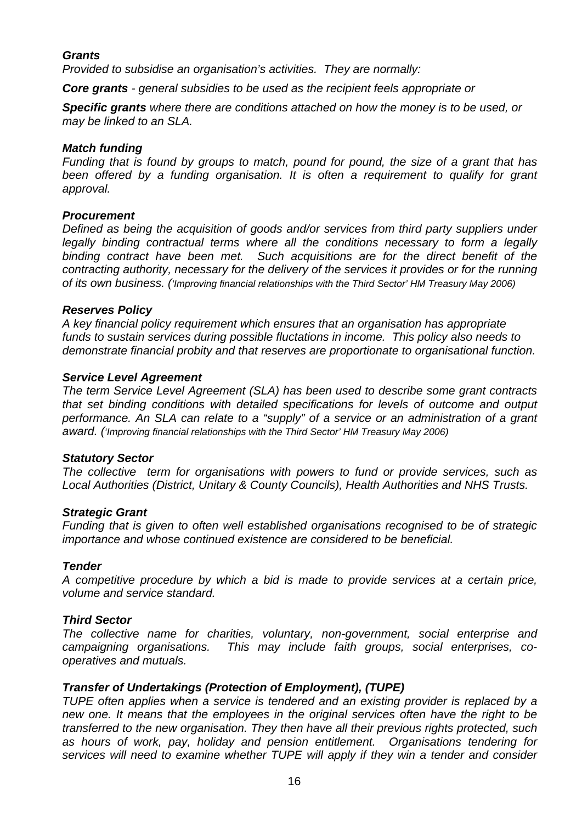# *Grants*

*Provided to subsidise an organisation's activities. They are normally:* 

*Core grants - general subsidies to be used as the recipient feels appropriate or* 

*Specific grants where there are conditions attached on how the money is to be used, or may be linked to an SLA.*

#### *Match funding*

*Funding that is found by groups to match, pound for pound, the size of a grant that has*  been offered by a funding organisation. It is often a requirement to qualify for grant *approval.* 

#### *Procurement*

*Defined as being the acquisition of goods and/or services from third party suppliers under legally binding contractual terms where all the conditions necessary to form a legally binding contract have been met. Such acquisitions are for the direct benefit of the contracting authority, necessary for the delivery of the services it provides or for the running of its own business. ('Improving financial relationships with the Third Sector' HM Treasury May 2006)* 

#### *Reserves Policy*

*A key financial policy requirement which ensures that an organisation has appropriate funds to sustain services during possible fluctations in income. This policy also needs to demonstrate financial probity and that reserves are proportionate to organisational function.* 

#### *Service Level Agreement*

*The term Service Level Agreement (SLA) has been used to describe some grant contracts that set binding conditions with detailed specifications for levels of outcome and output performance. An SLA can relate to a "supply" of a service or an administration of a grant award. ('Improving financial relationships with the Third Sector' HM Treasury May 2006)* 

#### *Statutory Sector*

*The collective term for organisations with powers to fund or provide services, such as Local Authorities (District, Unitary & County Councils), Health Authorities and NHS Trusts.*

#### *Strategic Grant*

*Funding that is given to often well established organisations recognised to be of strategic importance and whose continued existence are considered to be beneficial.* 

# *Tender*

*A competitive procedure by which a bid is made to provide services at a certain price, volume and service standard.* 

# *Third Sector*

*The collective name for charities, voluntary, non-government, social enterprise and campaigning organisations. This may include faith groups, social enterprises, cooperatives and mutuals.* 

# *Transfer of Undertakings (Protection of Employment), (TUPE)*

*TUPE often applies when a service is tendered and an existing provider is replaced by a new one. It means that the employees in the original services often have the right to be transferred to the new organisation. They then have all their previous rights protected, such as hours of work, pay, holiday and pension entitlement. Organisations tendering for services will need to examine whether TUPE will apply if they win a tender and consider*